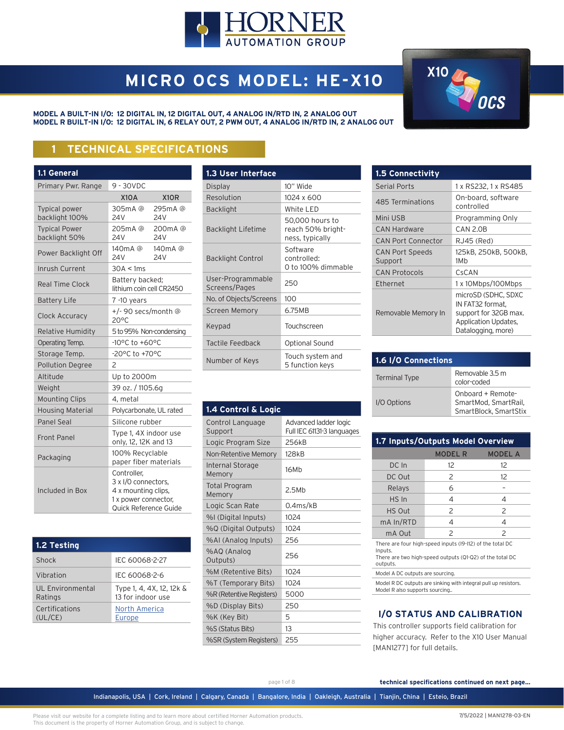

# **MICRO OCS MODEL: HE-X10**

**MODEL A BUILT-IN I/O: 12 DIGITAL IN, 12 DIGITAL OUT, 4 ANALOG IN/RTD IN, 2 ANALOG OUT MODEL R BUILT-IN I/O: 12 DIGITAL IN, 6 RELAY OUT, 2 PWM OUT, 4 ANALOG IN/RTD IN, 2 ANALOG OUT**



# **1 TECHNICAL SPECIFICATIONS**

| 1.1 General                            |                                                                                                            |                           |  |
|----------------------------------------|------------------------------------------------------------------------------------------------------------|---------------------------|--|
| Primary Pwr. Range                     | 9 - 30VDC                                                                                                  |                           |  |
|                                        | <b>X10A</b>                                                                                                | X <sub>1</sub> OR         |  |
| <b>Typical power</b><br>backlight 100% | 305mA@<br>24V                                                                                              | 295mA@<br>24 V            |  |
| <b>Typical Power</b><br>backlight 50%  | 205mA@<br>24V                                                                                              | 200mA @<br>24V            |  |
| Power Backlight Off                    | 140 <sub>m</sub> A @<br>24 <sub>V</sub>                                                                    | 140mA@<br>24 <sub>V</sub> |  |
| Inrush Current                         | 30A < 1ms                                                                                                  |                           |  |
| <b>Real Time Clock</b>                 | Battery backed;<br>lithium coin cell CR2450                                                                |                           |  |
| <b>Battery Life</b>                    | 7 -10 years                                                                                                |                           |  |
| Clock Accuracy                         | +/- 90 secs/month @<br>$20^{\circ}$ C                                                                      |                           |  |
| <b>Relative Humidity</b>               | 5 to 95% Non-condensing                                                                                    |                           |  |
| Operating Temp.                        | -10°C to +60°C                                                                                             |                           |  |
| Storage Temp.                          | -20°C to +70°C                                                                                             |                           |  |
| <b>Pollution Degree</b>                | 2                                                                                                          |                           |  |
| Altitude                               | Up to 2000m                                                                                                |                           |  |
| Weight                                 | 39 oz. / 1105.6g                                                                                           |                           |  |
| <b>Mounting Clips</b>                  | 4, metal                                                                                                   |                           |  |
| <b>Housing Material</b>                | Polycarbonate, UL rated                                                                                    |                           |  |
| Panel Seal                             | Silicone rubber                                                                                            |                           |  |
| Front Panel                            | Type 1, 4X indoor use<br>only, 12, 12K and 13                                                              |                           |  |
| Packaging                              | 100% Recyclable<br>paper fiber materials                                                                   |                           |  |
| Included in Box                        | Controller,<br>3 x I/O connectors.<br>4 x mounting clips,<br>1 x power connector,<br>Quick Reference Guide |                           |  |

| 1.2 Testing                 |                                               |
|-----------------------------|-----------------------------------------------|
| Shock                       | IEC 60068-2-27                                |
| Vibration                   | IEC 60068-2-6                                 |
| UL Environmental<br>Ratings | Type 1, 4, 4X, 12, 12k &<br>13 for indoor use |
| Certifications<br>(UL/CE)   | North America<br>Europe                       |

| 1.3 User Interface                 |                                                         |
|------------------------------------|---------------------------------------------------------|
| Display                            | 10" Wide                                                |
| Resolution                         | 1024 x 600                                              |
| <b>Backlight</b>                   | White LED                                               |
| <b>Backlight Lifetime</b>          | 50,000 hours to<br>reach 50% bright-<br>ness, typically |
| <b>Backlight Control</b>           | Software<br>controlled:<br>0 to 100% dimmable           |
| User-Programmable<br>Screens/Pages | 250                                                     |
| No. of Objects/Screens             | 100                                                     |
| <b>Screen Memory</b>               | 6.75MB                                                  |
| Keypad                             | Touchscreen                                             |
| Tactile Feedback                   | <b>Optional Sound</b>                                   |
| Number of Keys                     | Touch system and<br>5 function keys                     |

| 1.4 Control & Logic               |                                                     |
|-----------------------------------|-----------------------------------------------------|
| Control Language<br>Support       | Advanced ladder logic<br>Full IEC 61131-3 languages |
| Logic Program Size                | 256kB                                               |
| Non-Retentive Memory              | 128 <sub>kB</sub>                                   |
| <b>Internal Storage</b><br>Memory | 16Mb                                                |
| <b>Total Program</b><br>Memory    | 2.5Mh                                               |
| Logic Scan Rate                   | 0.4ms/kB                                            |
| %I (Digital Inputs)               | 1024                                                |
| %Q (Digital Outputs)              | 1024                                                |
| %AI (Analog Inputs)               | 256                                                 |
| %AQ (Analog<br>Outputs)           | 256                                                 |
| %M (Retentive Bits)               | 1024                                                |
| %T (Temporary Bits)               | 1024                                                |
| %R (Retentive Registers)          | 5000                                                |
| %D (Display Bits)                 | 250                                                 |
| %K (Key Bit)                      | 5                                                   |
| %S (Status Bits)                  | 13                                                  |
| %SR (System Registers)            | 255                                                 |
|                                   |                                                     |

| <b>1.5 Connectivity</b>           |                                                                                                                |
|-----------------------------------|----------------------------------------------------------------------------------------------------------------|
| <b>Serial Ports</b>               | 1 x RS232, 1 x RS485                                                                                           |
| 485 Terminations                  | On-board, software<br>controlled                                                                               |
| Mini USB                          | Programming Only                                                                                               |
| <b>CAN Hardware</b>               | CAN 2.0B                                                                                                       |
| <b>CAN Port Connector</b>         | RJ45 (Red)                                                                                                     |
| <b>CAN Port Speeds</b><br>Support | 125kB, 250kB, 500kB,<br>1M <sub>b</sub>                                                                        |
| <b>CAN Protocols</b>              | CsCAN                                                                                                          |
| Ethernet                          | 1 x 10Mbps/100Mbps                                                                                             |
| Removable Memory In               | microSD (SDHC, SDXC<br>IN FAT32 format,<br>support for 32GB max.<br>Application Updates,<br>Datalogging, more) |

| 1.6 I/O Connections  |                                                                    |  |
|----------------------|--------------------------------------------------------------------|--|
| <b>Terminal Type</b> | Removable 3.5 m<br>color-coded                                     |  |
| I/O Options          | Onboard + Remote-<br>SmartMod, SmartRail,<br>SmartBlock, SmartStix |  |

| 1.7 Inputs/Outputs Model Overview                                   |                |                |
|---------------------------------------------------------------------|----------------|----------------|
|                                                                     | <b>MODEL R</b> | <b>MODEL A</b> |
| DC In                                                               | 12             | 12             |
| DC Out                                                              | 2              | 12             |
| Relays                                                              | 6              |                |
| HS In                                                               | 4              | 4              |
| HS Out                                                              | $\mathcal{P}$  | $\mathcal{P}$  |
| mA In/RTD                                                           | 4              | 4              |
| mA Out                                                              | $\mathcal{P}$  | $\mathcal{P}$  |
| There are four high-speed inputs (19-112) of the total DC<br>Innuts |                |                |

Inputs. There are two high-speed outputs (Q1-Q2) of the total DC outputs.

Model A DC outputs are sourcing.

Model R DC outputs are sinking with integral pull up resistors. Model R also supports sourcing..

#### **I/O STATUS AND CALIBRATION**

This controller supports field calibration for higher accuracy. Refer to the X10 User Manual [MAN1277] for full details.

page 1 of 8 **technical specifications continued on next page...**

Indianapolis, USA | Cork, Ireland | Calgary, Canada | Bangalore, India | Oakleigh, Australia | Tianjin, China | Esteio, Brazil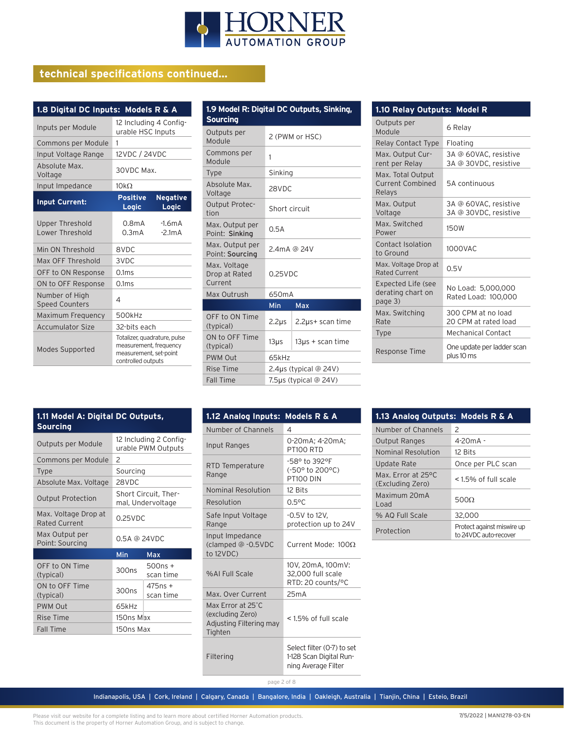

# **technical specifications continued...**

| 1.8 Digital DC Inputs: Models R & A       |                                                                                                        |  |  |
|-------------------------------------------|--------------------------------------------------------------------------------------------------------|--|--|
| Inputs per Module                         | 12 Including 4 Config-<br>urable HSC Inputs                                                            |  |  |
| Commons per Module                        | 1                                                                                                      |  |  |
| Input Voltage Range                       | 12VDC / 24VDC                                                                                          |  |  |
| Absolute Max.<br>Voltage                  | 30VDC Max.                                                                                             |  |  |
| Input Impedance                           | $10k\Omega$                                                                                            |  |  |
| <b>Input Current:</b>                     | <b>Negative</b><br><b>Positive</b><br>Logic<br>Logic                                                   |  |  |
| <b>Upper Threshold</b><br>Lower Threshold | 0.8 <sub>m</sub> A<br>$-1.6mA$<br>0.3 <sub>m</sub> A<br>$-2.1mA$                                       |  |  |
| Min ON Threshold                          | 8VDC                                                                                                   |  |  |
| Max OFF Threshold                         | 3VDC                                                                                                   |  |  |
| OFF to ON Response                        | 0.1 <sub>ms</sub>                                                                                      |  |  |
| ON to OFF Response                        | 0.1 <sub>ms</sub>                                                                                      |  |  |
| Number of High<br><b>Speed Counters</b>   | 4                                                                                                      |  |  |
| Maximum Frequency                         | 500kHz                                                                                                 |  |  |
| <b>Accumulator Size</b>                   | 32-bits each                                                                                           |  |  |
| Modes Supported                           | Totalizer, quadrature, pulse<br>measurement, frequency<br>measurement, set-point<br>controlled outputs |  |  |

| 1.9 Model R: Digital DC Outputs, Sinking,<br><b>Sourcing</b> |                       |                       |  |
|--------------------------------------------------------------|-----------------------|-----------------------|--|
| Outputs per<br>Module                                        | 2 (PWM or HSC)        |                       |  |
| Commons per<br>Module                                        | 1                     |                       |  |
| <b>Type</b>                                                  | Sinking               |                       |  |
| Absolute Max.<br>Voltage                                     | 28VDC                 |                       |  |
| <b>Output Protec-</b><br>tion                                | Short circuit         |                       |  |
| Max. Output per<br>Point: Sinking                            | 0.5A                  |                       |  |
| Max. Output per<br>Point: Sourcing                           | 2.4mA @ 24V           |                       |  |
| Max. Voltage<br>Drop at Rated<br>Current                     | $0.25$ VDC            |                       |  |
| Max Outrush                                                  | 650mA                 |                       |  |
|                                                              | Min                   | <b>Max</b>            |  |
| OFF to ON Time<br>(typical)                                  | $2.2\mu s$            | 2.2µs+ scan time      |  |
| ON to OFF Time<br>(typical)                                  | $13\mu s$             | $13\mu s +$ scan time |  |
| <b>PWM Out</b>                                               | 65kHz                 |                       |  |
| <b>Rise Time</b>                                             | 2.4µs (typical @ 24V) |                       |  |
| <b>Fall Time</b>                                             | 7.5µs (typical @ 24V) |                       |  |

| 1.10 Relay Outputs: Model R                               |                                                |  |
|-----------------------------------------------------------|------------------------------------------------|--|
| Outputs per<br>Module                                     | 6 Relay                                        |  |
| Relay Contact Type                                        | Floating                                       |  |
| Max. Output Cur-<br>rent per Relay                        | 3A @ 60VAC, resistive<br>3A @ 30VDC, resistive |  |
| Max. Total Output<br><b>Current Combined</b><br>Relays    | 5A continuous                                  |  |
| Max. Output<br>Voltage                                    | 3A @ 60VAC, resistive<br>3A @ 30VDC, resistive |  |
| Max. Switched<br>Power                                    | 150W                                           |  |
| Contact Isolation<br>to Ground                            | 1000VAC                                        |  |
| Max. Voltage Drop at<br><b>Rated Current</b>              | 0.5V                                           |  |
| <b>Expected Life (see</b><br>derating chart on<br>page 3) | No Load: 5,000,000<br>Rated Load: 100,000      |  |
| Max. Switching<br>Rate                                    | 300 CPM at no load<br>20 CPM at rated load     |  |
| <b>Type</b>                                               | Mechanical Contact                             |  |
| Response Time                                             | One update per ladder scan<br>plus 10 ms       |  |

| 1.11 Model A: Digital DC Outputs,<br><b>Sourcing</b> |                                              |  |
|------------------------------------------------------|----------------------------------------------|--|
| Outputs per Module                                   | 12 Including 2 Config-<br>urable PWM Outputs |  |
| Commons per Module                                   | $\mathcal{P}$                                |  |
| <b>Type</b>                                          | Sourcing                                     |  |
| Absolute Max. Voltage                                | 28VDC                                        |  |
| <b>Output Protection</b>                             | Short Circuit. Ther-<br>mal, Undervoltage    |  |
| Max. Voltage Drop at<br>Rated Current                | $0.25$ VDC                                   |  |
| Max Output per<br>Doint: Sourcing                    | 0.5A @ 24VDC                                 |  |

| <b>Rated Current</b>              | <u>U.L.JVU</u>       |                        |
|-----------------------------------|----------------------|------------------------|
| Max Output per<br>Point: Sourcing | $0.5A \otimes 24VDC$ |                        |
|                                   | Min                  | Max                    |
| OFF to ON Time<br>(typical)       | 300 <sub>ns</sub>    | $500ns +$<br>scan time |
| ON to OFF Time<br>(typical)       | 300 <sub>ns</sub>    | $475ns +$<br>scan time |
| <b>PWM Out</b>                    | 65kHz                |                        |
| Rise Time                         | 150ns Max            |                        |
| <b>Fall Time</b>                  | 150ns Max            |                        |

| 1.12 Analog Inputs:                                                         | <b>Models R &amp; A</b>                                                      |
|-----------------------------------------------------------------------------|------------------------------------------------------------------------------|
| Number of Channels                                                          | 4                                                                            |
| Input Ranges                                                                | 0-20mA; 4-20mA;<br><b>PT100 RTD</b>                                          |
| RTD Temperature<br>Range                                                    | -58° to 392°F<br>(-50° to 200°C)<br><b>PT100 DIN</b>                         |
| Nominal Resolution                                                          | 12 Bits                                                                      |
| Resolution                                                                  | $0.5$ °C                                                                     |
| Safe Input Voltage<br>Range                                                 | -0.5V to 12V,<br>protection up to 24V                                        |
| Input Impedance<br>(clamped @ -0.5VDC<br>to 12VDC                           | Current Mode: 1000                                                           |
| %ALFull Scale                                                               | 10V, 20mA, 100mV:<br>32,000 full scale<br>RTD: 20 counts/°C                  |
| Max. Over Current                                                           | 25mA                                                                         |
| Max Error at 25°C<br>(excluding Zero)<br>Adjusting Filtering may<br>Tighten | < 1.5% of full scale                                                         |
| Filtering                                                                   | Select filter (0-7) to set<br>1-128 Scan Digital Run-<br>ning Average Filter |

| 1.13 Analog Outputs: Models R & A      |                                                     |
|----------------------------------------|-----------------------------------------------------|
| Number of Channels                     | $\mathcal{P}$                                       |
| <b>Output Ranges</b>                   | $4 - 20mA -$                                        |
| Nominal Resolution                     | 12 Bits                                             |
| Update Rate                            | Once per PLC scan                                   |
| Max. Frror at 25°C<br>(Excluding Zero) | <1.5% of full scale                                 |
| Maximum 20mA<br>Load                   | 5000                                                |
| % AQ Full Scale                        | 32,000                                              |
| Protection                             | Protect against miswire up<br>to 24VDC auto-recover |

Indianapolis, USA | Cork, Ireland | Calgary, Canada | Bangalore, India | Oakleigh, Australia | Tianjin, China | Esteio, Brazil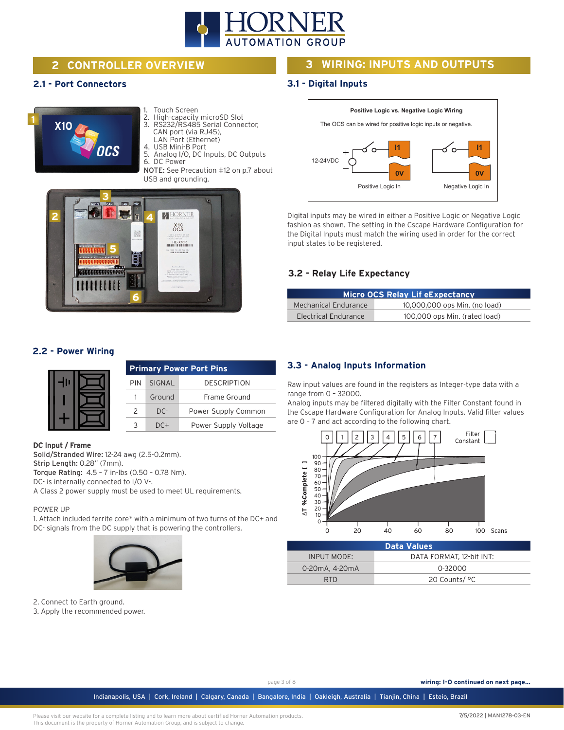

# **2 CONTROLLER OVERVIEW**

#### **2.1 - Port Connectors**

# **1 X10**

- 1. Touch Screen
- 2. High-capacity microSD Slot 3. RS232/RS485 Serial Connector,
- CAN port (via RJ45),
- LAN Port (Ethernet)
- 4. USB Mini-B Port
- 5. Analog I/O, DC Inputs, DC Outputs DC Power

NOTE: See Precaution #12 on p.7 about USB and grounding.



#### **2.2 - Power Wiring**

|  |               |        | <b>Primary Power Port Pins</b> |
|--|---------------|--------|--------------------------------|
|  | <b>PIN</b>    | SIGNAL | <b>DESCRIPTION</b>             |
|  |               | Ground | Frame Ground                   |
|  | $\mathcal{P}$ | $DC-$  | Power Supply Common            |
|  |               | DC+    | Power Supply Voltage           |

#### DC Input / Frame

Solid/Stranded Wire: 12-24 awg (2.5-0.2mm). Strip Length: 0.28" (7mm). Torque Rating: 4.5 – 7 in-lbs (0.50 – 0.78 Nm). DC- is internally connected to I/O V-. A Class 2 power supply must be used to meet UL requirements.

#### POWER UP

1. Attach included ferrite core\* with a minimum of two turns of the DC+ and DC- signals from the DC supply that is powering the controllers.



2. Connect to Earth ground.

3. Apply the recommended power.

## **3 WIRING: INPUTS AND OUTPUTS**

#### **3.1 - Digital Inputs**



Digital inputs may be wired in either a Positive Logic or Negative Logic fashion as shown. The setting in the Cscape Hardware Configuration for the Digital Inputs must match the wiring used in order for the correct input states to be registered.

#### **3.2 - Relay Life Expectancy**

|                      | <b>Micro OCS Relay Lif eExpectancy</b> |
|----------------------|----------------------------------------|
| Mechanical Endurance | 10,000,000 ops Min. (no load)          |
| Electrical Endurance | 100,000 ops Min. (rated load)          |

#### **3.3 - Analog Inputs Information**

Raw input values are found in the registers as Integer-type data with a range from 0 – 32000.

Analog inputs may be filtered digitally with the Filter Constant found in the Cscape Hardware Configuration for Analog Inputs. Valid filter values are 0 – 7 and act according to the following chart.



|                | <b>Data Values</b>       |
|----------------|--------------------------|
| INPUT MODE:    | DATA FORMAT, 12-bit INT: |
| 0-20mA, 4-20mA | 0-32000                  |
| RTD.           | 20 Counts/ °C            |

page 3 of 8 **wiring: I-O continued on next page...**

Indianapolis, USA | Cork, Ireland | Calgary, Canada | Bangalore, India | Oakleigh, Australia | Tianjin, China | Esteio, Brazil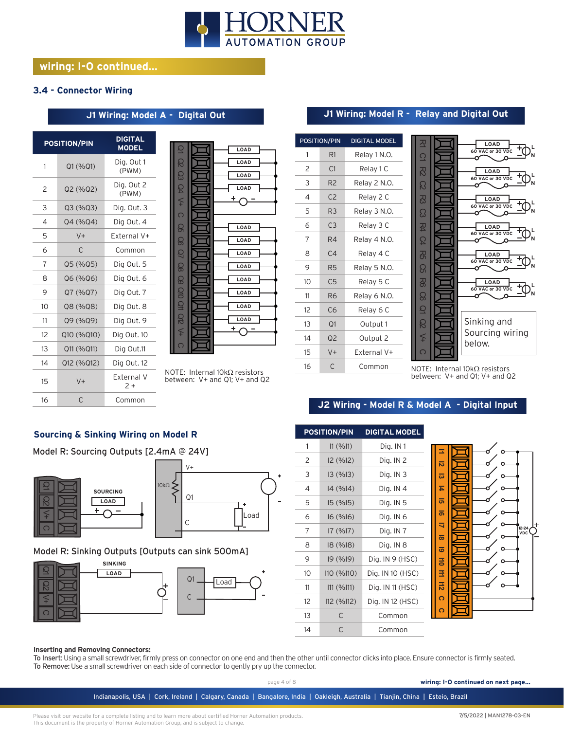

# **wiring: I-O continued...**

#### **3.4 - Connector Wiring**

#### **J1 Wiring: Model A - Digital Out**

|    | <b>POSITION/PIN</b> | <b>DIGITAL</b><br><b>MODEL</b> |
|----|---------------------|--------------------------------|
| 1  | Q1 (%Q1)            | Dig. Out 1<br>(PWM)            |
| 2  | Q2(%Q2)             | Dig. Out 2<br>(PWM)            |
| 3  | Q3(%Q3)             | Dig. Out. 3                    |
| 4  | Q4 (%Q4)            | Dig Out. 4                     |
| 5  | $V +$               | Fxternal V+                    |
| 6  | C                   | Common                         |
| 7  | Q5 (%Q5)            | Dig Out. 5                     |
| 8  | Q6 (%Q6)            | Dig Out. 6                     |
| 9  | Q7 (%Q7)            | Dig Out. 7                     |
| 10 | Q8 (%Q8)            | Dig Out. 8                     |
| 11 | Q9 (%Q9)            | Dig Out. 9                     |
| 12 | Q10 (%Q10)          | Dig Out. 10                    |
| 13 | Q11 (%Q11)          | Dig Out.11                     |
| 14 | Q12 (%Q12)          | Dig Out. 12                    |
| 15 | $V +$               | External V<br>2 +              |
| 16 | $\subset$           | Common                         |

| g                       | LOAD     |
|-------------------------|----------|
| සි                      | LOAD     |
|                         |          |
| සි                      | LOAD     |
| B                       | LOAD     |
| $\leq$                  | $\pm$ c  |
|                         |          |
| $\overline{\Omega}$     |          |
| සි                      | LOAD     |
|                         |          |
| ළ                       | LOAD     |
| Q                       | LOAD     |
| 80                      | LOAD     |
|                         |          |
| $\overline{\mathbb{S}}$ | LOAD     |
| 92                      | LOAD     |
| Q                       |          |
|                         | LOAD     |
| <b>G</b>                | LOAD     |
| ≨                       | <u>+</u> |
|                         |          |
| $\overline{\Omega}$     |          |
|                         |          |

NOTE: Internal 10kΩ resistors between: V+ and Q1; V+ and Q2

### **J1 Wiring: Model R - Relay and Digital Out**

|    | <b>POSITION/PIN</b> | <b>DIGITAL MODEL</b> |
|----|---------------------|----------------------|
| 1  | R1                  | Relay 1 N.O.         |
| 2  | C <sub>1</sub>      | Relay 1 C            |
| 3  | R <sub>2</sub>      | Relay 2 N.O.         |
| 4  | C <sub>2</sub>      | Relay 2 C            |
| 5  | R3                  | Relay 3 N.O.         |
| 6  | C <sub>3</sub>      | Relay 3 C            |
| 7  | R4                  | Relay 4 N.O.         |
| 8  | C <sub>4</sub>      | Relay 4 C            |
| 9  | R5                  | Relay 5 N.O.         |
| 10 | C <sub>5</sub>      | Relay 5 C            |
| 11 | R <sub>6</sub>      | Relay 6 N.O.         |
| 12 | C6                  | Relay 6 C            |
| 13 | Q <sub>1</sub>      | Output 1             |
| 14 | Q <sub>2</sub>      | Output 2             |
| 15 | $V +$               | External V+          |
| 16 | C                   | Common               |



NOTE: Internal 10kΩ resistors between: V+ and Q1; V+ and Q2

#### **J2 Wiring - Model R & Model A - Digital Input**

#### **Sourcing & Sinking Wiring on Model R**

Model R: Sourcing Outputs [2.4mA @ 24V]



#### Model R: Sinking Outputs [Outputs can sink 500mA]





#### **Inserting and Removing Connectors:**

To Insert: Using a small screwdriver, firmly press on connector on one end and then the other until connector clicks into place. Ensure connector is firmly seated. To Remove: Use a small screwdriver on each side of connector to gently pry up the connector.

page 4 of 8 **wiring: I-O continued on next page...**

Indianapolis, USA | Cork, Ireland | Calgary, Canada | Bangalore, India | Oakleigh, Australia | Tianjin, China | Esteio, Brazil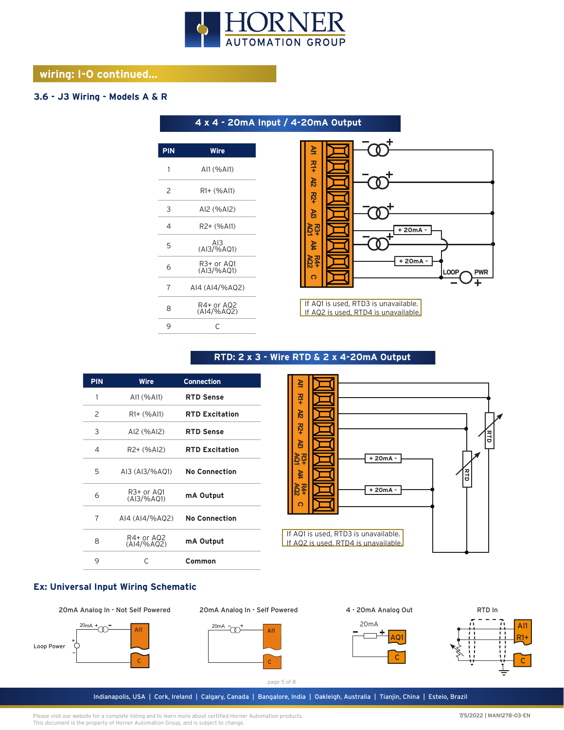

**4 x 4 - 20mA Input / 4-20mA Output** 

# **wiring: I-O continued...**

### **3.6 - J3 Wiring - Models A & R**

| <b>PIN</b> | Wire                        |
|------------|-----------------------------|
| 1          | AI1 (%AI1)                  |
| 2          | R <sub>1</sub> + (%AI1)     |
| 3          | AI2 (%AI2)                  |
| 4          | R2+ (%Al1)                  |
| 5          | AI3<br>(AI3/%AQ1)           |
| 6          | R3+ or A01<br>$(A13/\%AO1)$ |
| 7          | AI4 (AI4/%AQ2)              |
| 8          | R4+ or AQ2<br>(Al4/%AQ2)    |
| 9          | C                           |
|            |                             |



If AQ1 is used, RTD3 is unavailable. If AQ2 is used, RTD4 is unavailable.

| <b>PIN</b> | Wire                         | <b>Connection</b>     |
|------------|------------------------------|-----------------------|
| 1          | AI1 (%AI1)                   | <b>RTD Sense</b>      |
| 2          | R1+ (%Al1)                   | <b>RTD Excitation</b> |
| 3          | AI2 (%AI2)                   | <b>RTD Sense</b>      |
| 4          | R2+ (%AI2)                   | <b>RTD Excitation</b> |
| 5          | AI3 (AI3/%AQ1) No Connection |                       |
| 6          | R3+ or A01<br>(AI3/%AQ1)     | mA Output             |
| 7          | AI4 (AI4/%AQ2)               | <b>No Connection</b>  |
| 8          | R4+ or AQ2<br>$(A 4/\%AO2)$  | mA Output             |
| 9          | C                            | Common                |

# **RTD: 2 x 3 - Wire RTD & 2 x 4-20mA Output**



#### **Ex: Universal Input Wiring Schematic**

20mA Analog In - Not Self Powered











page 5 of 8

Indianapolis, USA | Cork, Ireland | Calgary, Canada | Bangalore, India | Oakleigh, Australia | Tianjin, China | Esteio, Brazil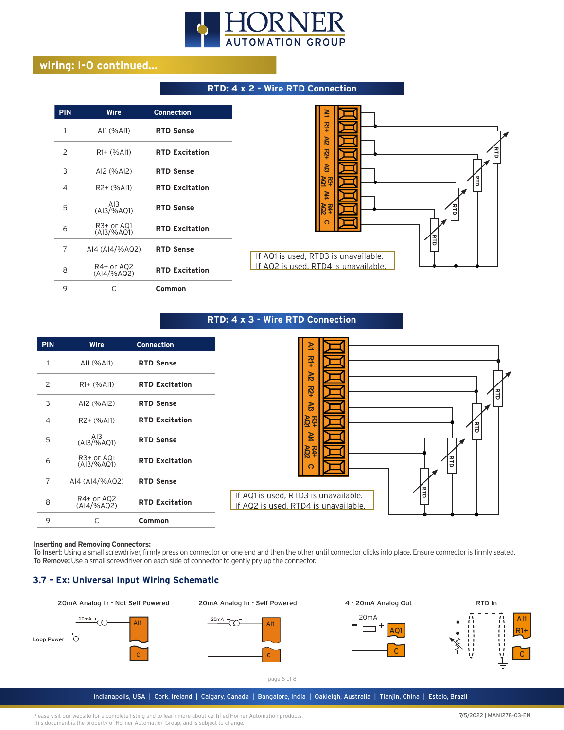

# **wiring: I-O continued...**

#### **RTD: 4 x 2 - Wire RTD Connection**

| <b>PIN</b>     | Wire                         | <b>Connection</b>     |
|----------------|------------------------------|-----------------------|
| 1              | AI1 (%AI1)                   | <b>RTD Sense</b>      |
| 2              | $R1 + (%A11)$                | <b>RTD Excitation</b> |
| 3              | AI2 (%AI2)                   | <b>RTD Sense</b>      |
| 4              | R2+ (%Al1)                   | <b>RTD Excitation</b> |
| 5              | AI3<br>(AI3/%A01)            | <b>RTD Sense</b>      |
| 6              | R3+ or A01<br>$(A13/\% AQ1)$ | <b>RTD Excitation</b> |
| $\overline{7}$ | AI4 (AI4/%AQ2)               | <b>RTD Sense</b>      |
| 8              | R4+ or AQ2<br>$(A 4/\%AO2)$  | <b>RTD Excitation</b> |
| 9              | C                            | Common                |



#### **RTD: 4 x 3 - Wire RTD Connection**

| <b>PIN</b>     | <b>Wire</b>                                           | <b>Connection</b>     |
|----------------|-------------------------------------------------------|-----------------------|
|                | AI1 (%AI1)                                            | <b>RTD Sense</b>      |
| 2              | $R1 + (%Al1)$                                         | <b>RTD Excitation</b> |
| 3              | AI2 (%AI2)                                            | <b>RTD Sense</b>      |
| $\overline{4}$ | R2+ (%Al1)                                            | <b>RTD Excitation</b> |
| 5              | AI3<br>(AI3/%AQ1)                                     | <b>RTD Sense</b>      |
| 6              | R <sub>3</sub> + or AQ <sub>1</sub><br>$(A13/\% AQ1)$ | <b>RTD Excitation</b> |
| $\overline{7}$ | AI4 (AI4/%AQ2)                                        | <b>RTD Sense</b>      |
| 8              | R4+ or AQ2<br>(AI4/%AQ2)                              | <b>RTD Excitation</b> |
| 9              | C                                                     | Common                |

#### **Inserting and Removing Connectors:**

To Insert: Using a small screwdriver, firmly press on connector on one end and then the other until connector clicks into place. Ensure connector is firmly seated. To Remove: Use a small screwdriver on each side of connector to gently pry up the connector.

#### **3.7 - Ex: Universal Input Wiring Schematic**



20mA Analog In - Self Powered







page 6 of 8

Indianapolis, USA | Cork, Ireland | Calgary, Canada | Bangalore, India | Oakleigh, Australia | Tianjin, China | Esteio, Brazil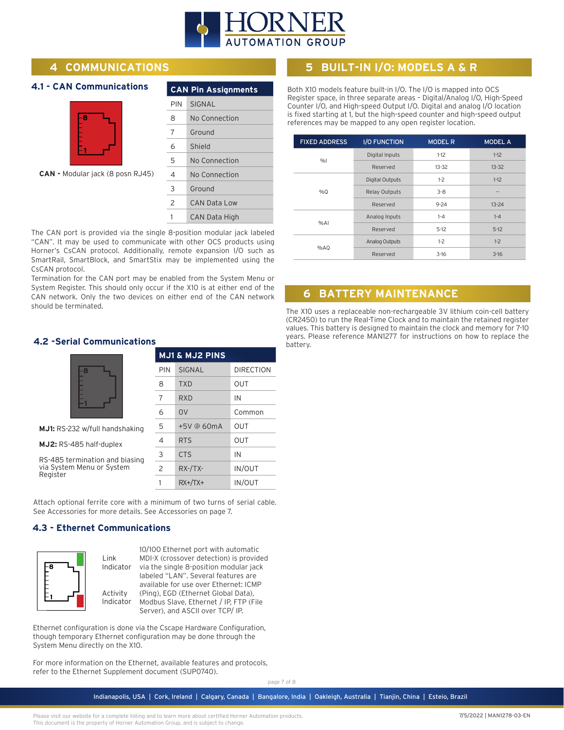

# **4 COMMUNICATIONS**

#### **4.1 - CAN Communications**



**CAN -** Modular jack (8 posn RJ45)

|     | <b>CAN Pin Assignments</b> |  |  |  |
|-----|----------------------------|--|--|--|
| PIN | <b>SIGNAL</b>              |  |  |  |
| 8   | No Connection              |  |  |  |
| 7   | Ground                     |  |  |  |
| 6   | Shield                     |  |  |  |
| 5   | No Connection              |  |  |  |
| 4   | No Connection              |  |  |  |
| 3   | Ground                     |  |  |  |
| 2   | CAN Data Low               |  |  |  |
| 1   | CAN Data High              |  |  |  |

The CAN port is provided via the single 8-position modular jack labeled "CAN". It may be used to communicate with other OCS products using Horner's CsCAN protocol. Additionally, remote expansion I/O such as SmartRail, SmartBlock, and SmartStix may be implemented using the CsCAN protocol.

Termination for the CAN port may be enabled from the System Menu or System Register. This should only occur if the X10 is at either end of the CAN network. Only the two devices on either end of the CAN network should be terminated.

#### **4.2 -Serial Communications**

|                                       | <b>MJ1 &amp; MJ2 PINS</b> |                |                  |
|---------------------------------------|---------------------------|----------------|------------------|
| -8                                    | PIN                       | SIGNAL         | <b>DIRECTION</b> |
|                                       | 8                         | <b>TXD</b>     | OUT              |
|                                       | 7                         | <b>RXD</b>     | IN               |
|                                       | 6                         | O <sub>V</sub> | Common           |
| <b>MJ1:</b> RS-232 w/full handshaking | 5                         | +5V @ 60mA     | OUT              |
| MJ2: RS-485 half-duplex               | 4                         | <b>RTS</b>     | <b>OUT</b>       |
| RS-485 termination and biasing        | 3                         | <b>CTS</b>     | IN               |
| via System Menu or System<br>Register | $\overline{c}$            | $RX$ -/TX-     | <b>IN/OUT</b>    |
|                                       |                           | $RX+/TX+$      | <b>IN/OUT</b>    |

Attach optional ferrite core with a minimum of two turns of serial cable. See Accessories for more details. See Accessories on page 7.

#### **4.3 - Ethernet Communications**



**B**  $\begin{bmatrix} -8 \\ -1 \end{bmatrix}$  Indicator via the single 8-position modular jack | **Indicator** Modbus Slave, Ethernet / IP, FTP (File 10/100 Ethernet port with automatic MDI-X (crossover detection) is provided labeled "LAN". Several features are available for use over Ethernet: ICMP (Ping), EGD (Ethernet Global Data), Server), and ASCII over TCP/ IP.

Ethernet configuration is done via the Cscape Hardware Configuration, though temporary Ethernet configuration may be done through the System Menu directly on the X10.

For more information on the Ethernet, available features and protocols, refer to the Ethernet Supplement document (SUP0740).

page 7 of 8

Both X10 models feature built-in I/O. The I/O is mapped into OCS Register space, in three separate areas – Digital/Analog I/O, High-Speed

Counter I/O, and High-speed Output I/O. Digital and analog I/O location is fixed starting at 1, but the high-speed counter and high-speed output references may be mapped to any open register location.

**5 BUILT-IN I/O: MODELS A & R**

| <b>FIXED ADDRESS</b> | <b>I/O FUNCTION</b>    | <b>MODEL R</b> | <b>MODEL A</b> |
|----------------------|------------------------|----------------|----------------|
|                      | Digital Inputs         | $1-12$         | $1-12$         |
| %                    | Reserved               | $13 - 32$      | $13 - 32$      |
| %0                   | <b>Digital Outputs</b> | $1-2$          | $1-12$         |
|                      | <b>Relay Outputs</b>   | $3 - 8$        | $-1$           |
|                      | Reserved               | $9 - 24$       | $13 - 24$      |
| %A                   | Analog Inputs          | $1 - 4$        | $1 - 4$        |
|                      | Reserved               | $5-12$         | $5-12$         |
| %AQ                  | Analog Outputs         | $1-2$          | $1-2$          |
|                      | Reserved               | $3-16$         | $3-16$         |

# **6 BATTERY MAINTENANCE**

The X10 uses a replaceable non-rechargeable 3V lithium coin-cell battery (CR2450) to run the Real-Time Clock and to maintain the retained register values. This battery is designed to maintain the clock and memory for 7-10 years. Please reference MAN1277 for instructions on how to replace the battery.